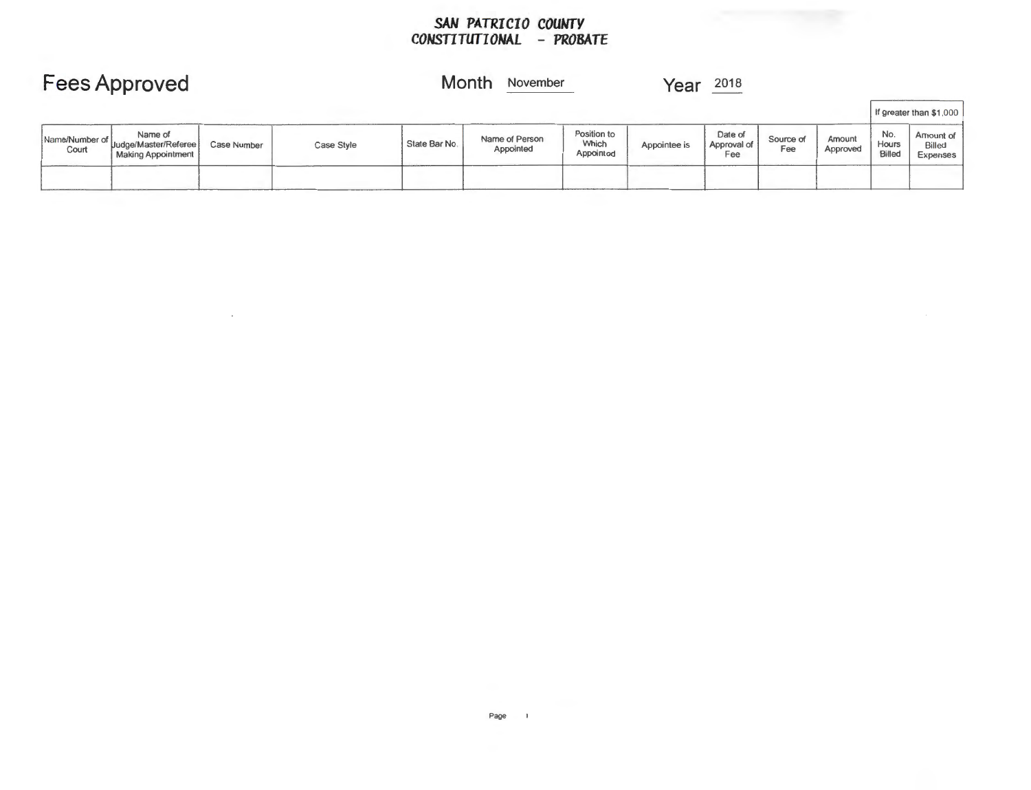#### *SAN PATRICIO COUMTY CONSTITUfIONAL* **-** *PROBATE*

|                         | <b>Fees Approved</b>                                           |             |            |              | Month<br>November<br>2018<br>Year |                                   |              |                               |                  |                    |                        |                                                    |
|-------------------------|----------------------------------------------------------------|-------------|------------|--------------|-----------------------------------|-----------------------------------|--------------|-------------------------------|------------------|--------------------|------------------------|----------------------------------------------------|
|                         |                                                                |             |            |              |                                   |                                   |              |                               |                  |                    |                        | If greater than \$1,000                            |
| Name/Number of<br>Court | Name of<br>'Uudge/Master/Referee)<br><b>Making Appointment</b> | Case Number | Case Style | State Bar No | Name of Person<br>Appointed       | Position to<br>Which<br>Appointed | Appointee is | Date of<br>Approval of<br>Fee | Source of<br>Fee | Amount<br>Approved | No.<br>Hours<br>Billed | Amount of<br><b>Bille</b> <sup>d</sup><br>ExponSes |
|                         |                                                                |             |            |              |                                   |                                   |              |                               |                  |                    |                        |                                                    |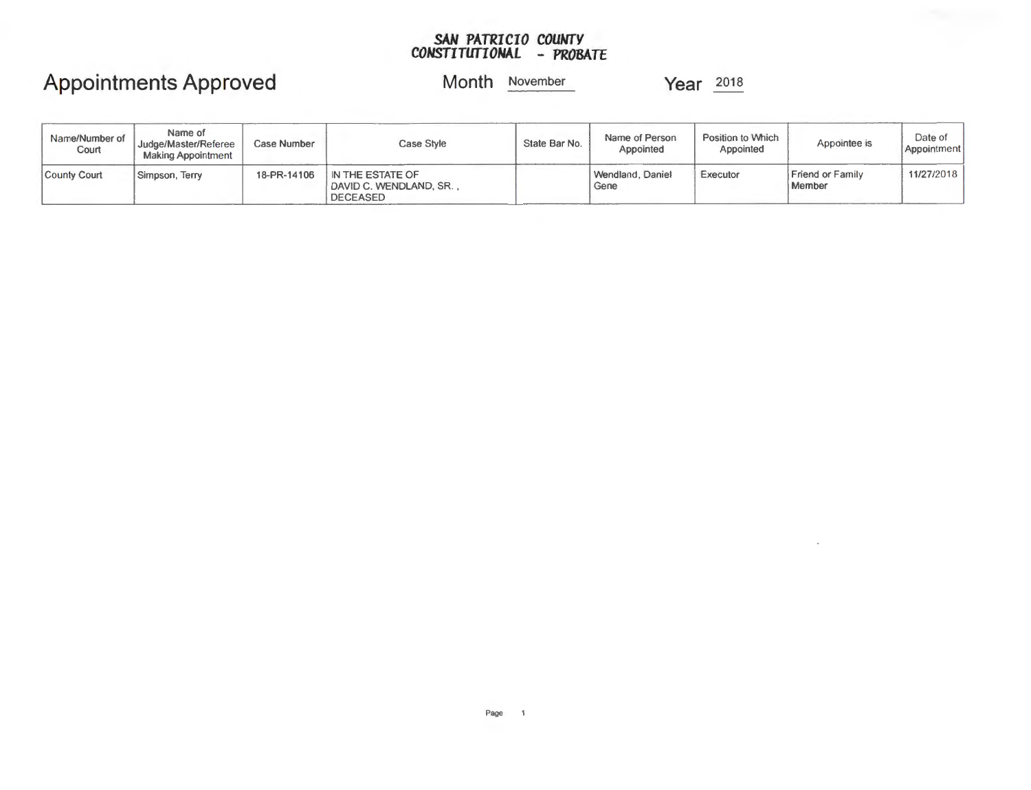#### *SAN PATRICIO COUNTY CONSTITUTIONAL* **-** *PROBATE*

## **Appointments Approved**

**Month** November **Year** 2018

| Name/Number of<br>Court | Name of<br>Judge/Master/Referee<br><b>Making Appointment</b> | Case Number | Case Style                                            | State Bar No. | Name of Person<br>Appointed | Position to Which<br>Appointed | Appointee is               | Date of<br>Appointment |
|-------------------------|--------------------------------------------------------------|-------------|-------------------------------------------------------|---------------|-----------------------------|--------------------------------|----------------------------|------------------------|
| County Court            | Simpson, Terry                                               | 18-PR-14106 | IN THE ESTATE OF<br>DAVID C. WENDLAND, SR<br>DECEASED |               | Wendland, Daniel<br>Gene    | Executor                       | Friend or Family<br>Member | 11/27/2018             |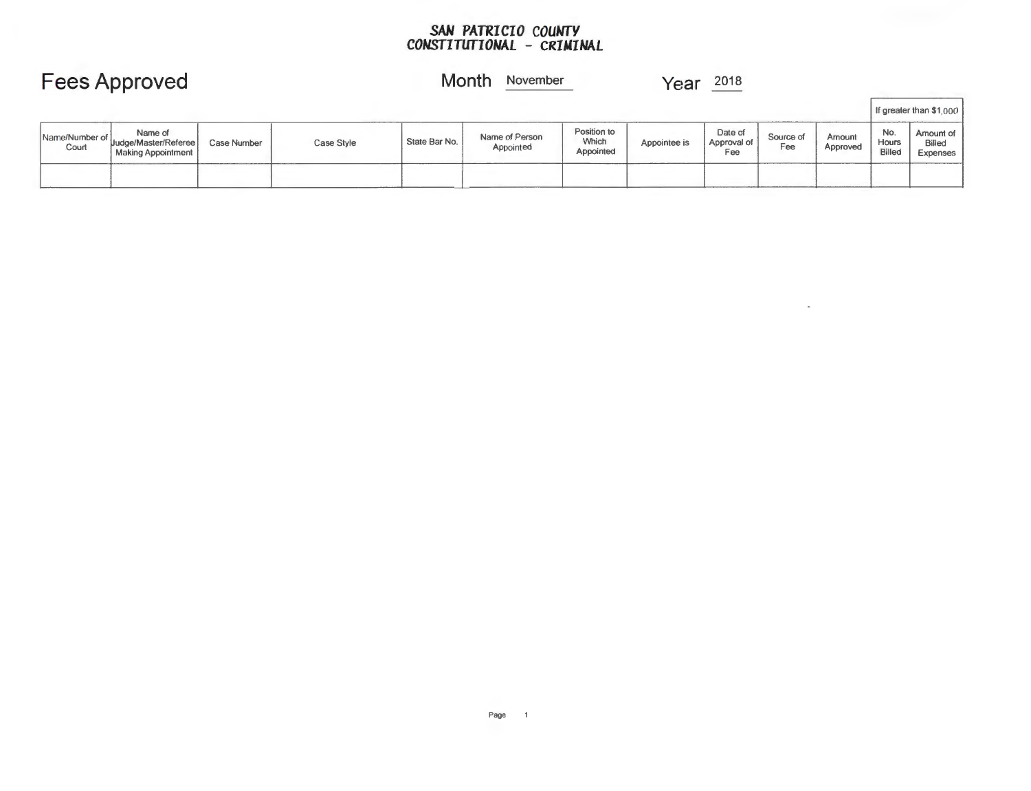#### *SAN PATRICIO COUNTY CONSTITUTIONAL* **-** *CRIMINAL*

## **Fees Approved**

### **Month** November

**Year**  $\frac{2018}{50}$ 

 $\sim$ 

|                         |                                                         |             |            |               |                             |                                   |              |                               |                  |                    |                        | If greater than \$1,000                |
|-------------------------|---------------------------------------------------------|-------------|------------|---------------|-----------------------------|-----------------------------------|--------------|-------------------------------|------------------|--------------------|------------------------|----------------------------------------|
| Name/Number of<br>Court | Name of<br>" Uudge/Master/Referee<br>Making Appointment | Case Number | Case Style | State Bar No. | Name of Person<br>Appointed | Position to<br>Which<br>Appointed | Appointee is | Date of<br>Approval of<br>Fee | Source of<br>Fee | Amount<br>Approved | No.<br>Hours<br>Billed | Amount of<br><b>Billed</b><br>Expenses |
|                         |                                                         |             |            |               |                             |                                   |              |                               |                  |                    |                        |                                        |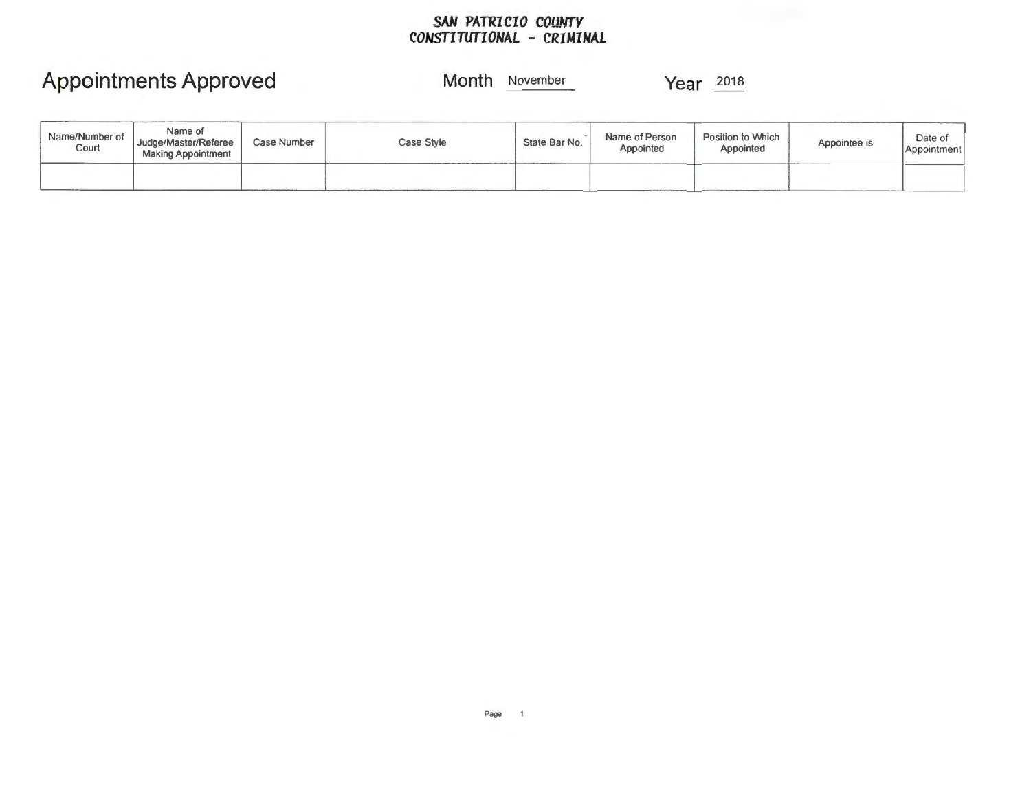#### *SAN PATRICIO COUMTY CONSTITUTIONAL* **-** *CRIMINAL*

## **Appointments Approved**

### **Month** November **Year** <sup>2018</sup>

| _______<br>Name/Number of<br>Court | Name of<br>Judge/Master/Referee<br><b>Making Appointment</b> | Case Number | Case Style | State Bar No. | Name of Person<br>Appointed | Position to Which<br>Appointed | Appointee is | Date of<br>Appointment |
|------------------------------------|--------------------------------------------------------------|-------------|------------|---------------|-----------------------------|--------------------------------|--------------|------------------------|
|                                    |                                                              |             |            |               |                             |                                |              |                        |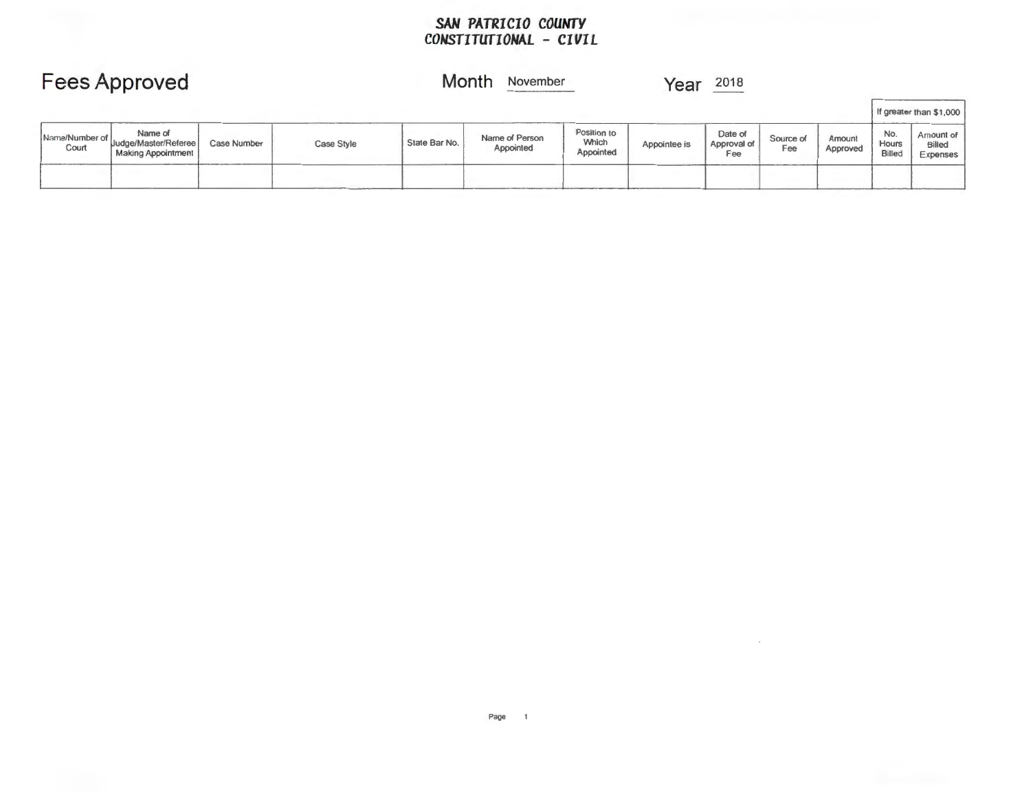### *SAN PATRICIO COUNTY CONSTITUTIONAL* **-** *CIVIL*

|                         | Fees Approved                                                |             |            |               | Month<br>November           |                                   | Year         | 2018                          |                  |                    |                               |                                                            |
|-------------------------|--------------------------------------------------------------|-------------|------------|---------------|-----------------------------|-----------------------------------|--------------|-------------------------------|------------------|--------------------|-------------------------------|------------------------------------------------------------|
|                         |                                                              |             |            |               |                             |                                   |              |                               |                  |                    |                               | If greater than \$1,000                                    |
| Name/Number of<br>Court | Name of<br>Uudge/Master/Referee<br><b>Making Appointment</b> | Case Number | Case Style | State Bar No. | Name of Person<br>Appointed | Position to<br>Which<br>Appointed | Appointee is | Date of<br>Approval of<br>Fee | Source of<br>Fee | Amount<br>Approved | No.<br>Hours<br><b>Billed</b> | Am <sub>ount</sub> of<br>pilled<br>$E$ <sub>s</sub> penses |
|                         |                                                              |             |            |               |                             |                                   |              |                               |                  |                    |                               |                                                            |

 $\sim$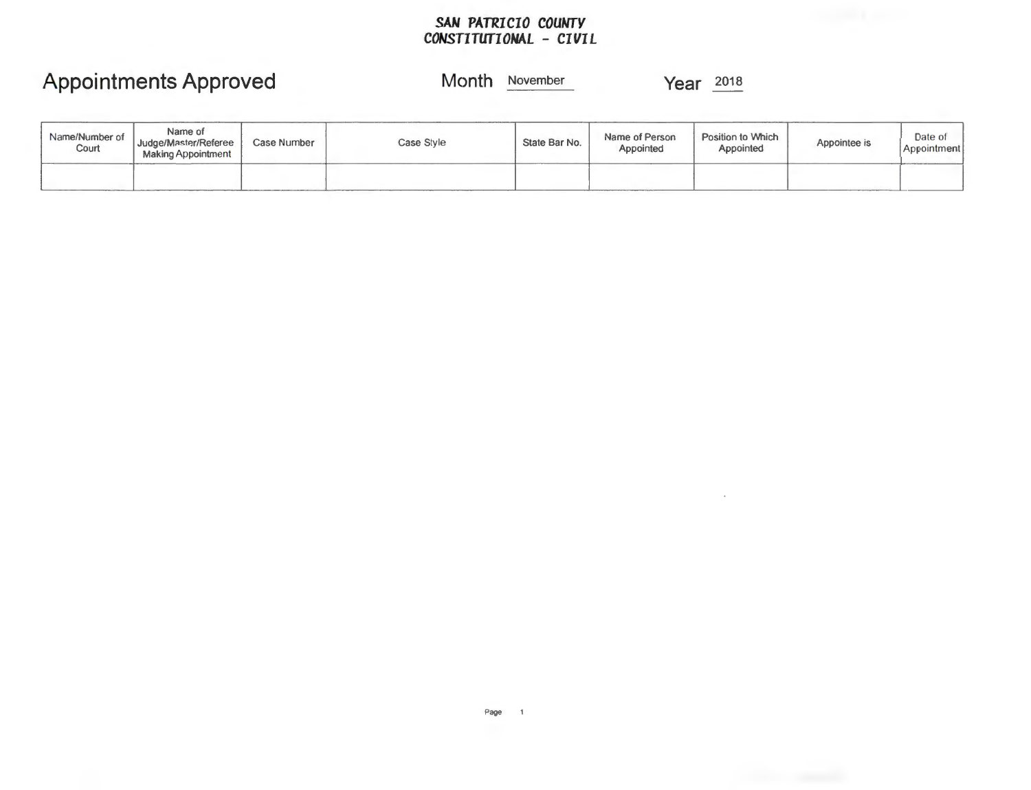### *SAN PATRICIO COUNTY CONSTITUfIONAL* **-** *CIVIL*

### **Appointments Approved**

### **Month** November

**Year** 201a

| Name/Number of<br>Court | Name of<br>Judge/Master/Referee<br><b>Making Appointment</b> | Case Number | Case Style | State Bar No. | Name of Person<br>Appointed | Position to Which<br>Appointed | Appointee is | Date of<br>Appointment |
|-------------------------|--------------------------------------------------------------|-------------|------------|---------------|-----------------------------|--------------------------------|--------------|------------------------|
|                         |                                                              |             |            |               |                             |                                |              |                        |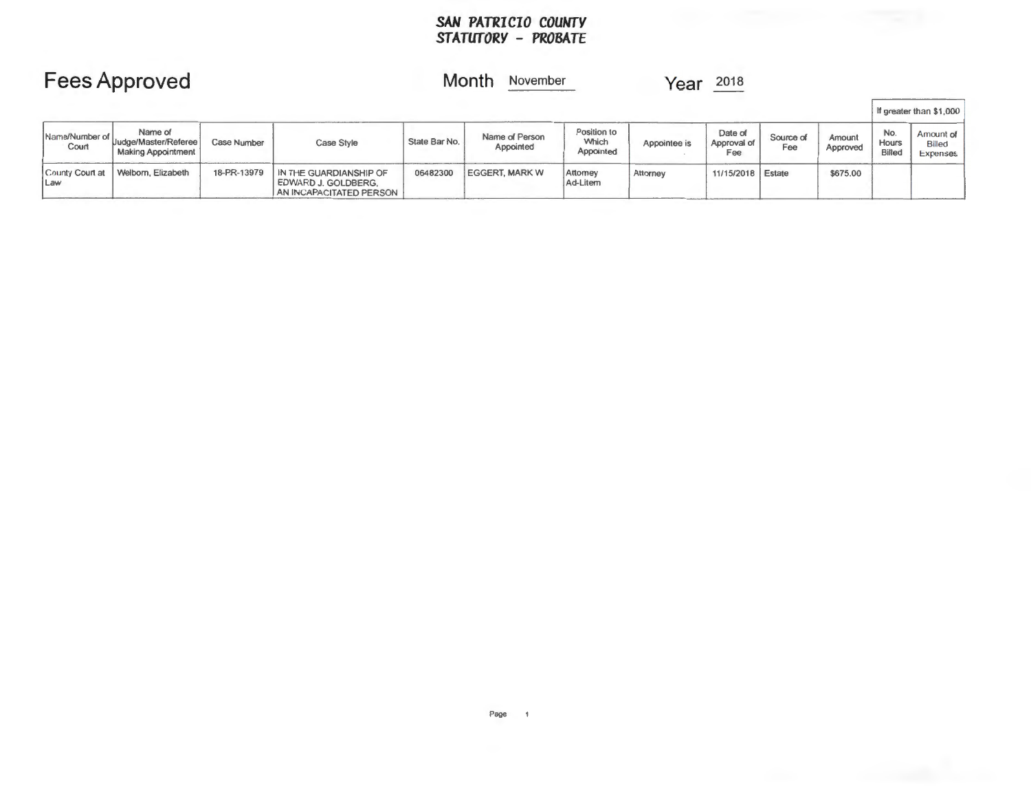#### *SAN PATRICIO COUNTY STATUTORY* **-** *PROBATE*

### **Month** November

### **Year**  $\frac{2018}{100}$

|                         | <b>Fees Approved</b>                                         |                    |                                                                          |               | Month<br>November           |                                   | Year         | 2018                          |                  |                    |                               |                                              |
|-------------------------|--------------------------------------------------------------|--------------------|--------------------------------------------------------------------------|---------------|-----------------------------|-----------------------------------|--------------|-------------------------------|------------------|--------------------|-------------------------------|----------------------------------------------|
|                         |                                                              |                    |                                                                          |               |                             |                                   |              |                               |                  |                    |                               | If greater than \$1,000                      |
| Name/Number of<br>Court | Name of<br>Uudge/Master/Referee<br><b>Making Appointment</b> | <b>Case Number</b> | Case Style                                                               | State Bar No. | Name of Person<br>Appointed | Position to<br>Which<br>Appointed | Appointee is | Date of<br>Approval of<br>Fee | Source of<br>Fee | Amount<br>Approved | No.<br>Hours<br><b>Billed</b> | Amount of<br>Billed <sup>1</sup><br>Expenses |
| County Court at<br>Law  | Welborn, Elizabeth                                           | 18-PR-13979        | IN THE GUARDIANSHIP OF<br>EDWARD J. GOLDBERG,<br>AN INCAPACITATED PERSON | 06482300      | <b>EGGERT, MARK W</b>       | Attomey<br>Ad-Litem               | Attorney     | 11/15/2018   Estate           |                  | \$675.00           |                               |                                              |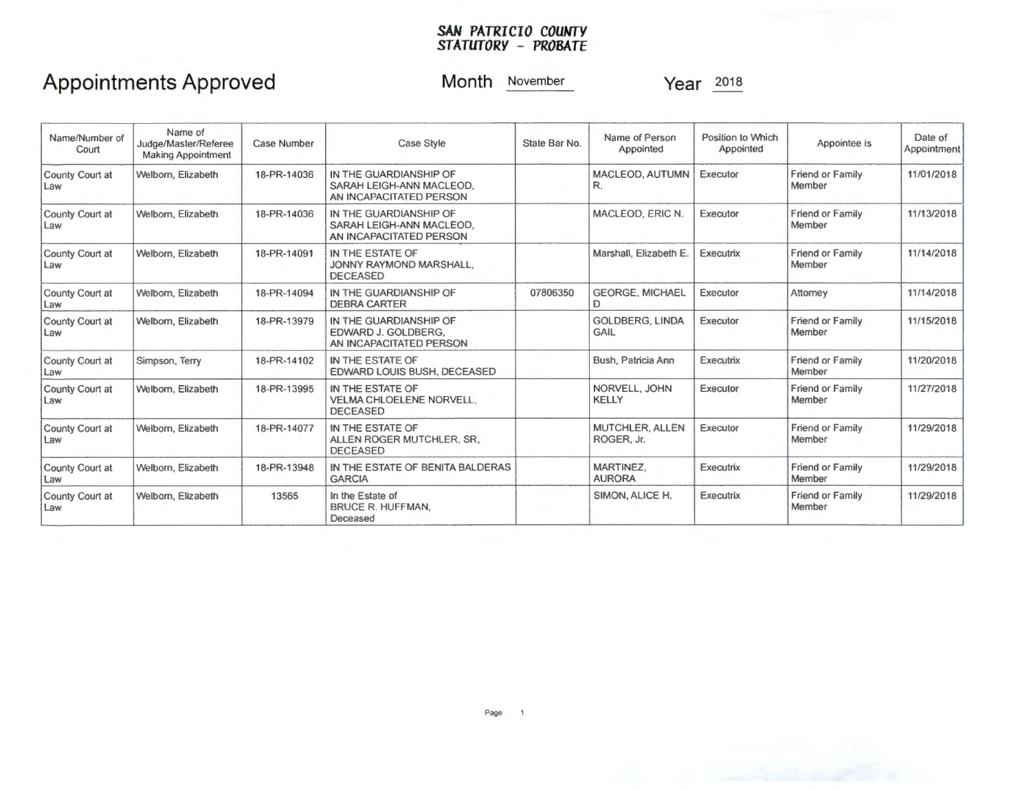#### *SAN PATRICIO COUNTY STATUTORY* **-** *PROBATE*

## **Appointments Approved**

**Month** November

**Year** <sup>2018</sup>

| Name/Number of<br>Court | Name of<br>Judge/Master/Referee<br><b>Making Appointment</b> | <b>Case Number</b> | Case Style                                                                    | State Bar No. | Name of Person<br>Appointed    | Position to Which<br>Appointed | Appointee is                      | Date of<br>Appointment |
|-------------------------|--------------------------------------------------------------|--------------------|-------------------------------------------------------------------------------|---------------|--------------------------------|--------------------------------|-----------------------------------|------------------------|
| County Court at<br>Law  | Welborn, Elizabeth                                           | 18-PR-14036        | IN THE GUARDIANSHIP OF<br>SARAH LEIGH-ANN MACLEOD.<br>AN INCAPACITATED PERSON |               | MACLEOD, AUTUMN<br>R.          | Executor                       | <b>Friend or Family</b><br>Member | 11/01/2018             |
| County Court at<br>Law  | Welborn, Elizabeth                                           | 18-PR-14036        | IN THE GUARDIANSHIP OF<br>SARAH LEIGH-ANN MACLEOD,<br>AN INCAPACITATED PERSON |               | MACLEOD, ERIC N.               | Executor                       | Friend or Family<br>Member        | 11/13/2018             |
| County Court at<br>Law  | Welborn, Elizabeth                                           | 18-PR-14091        | IN THE ESTATE OF<br>JONNY RAYMOND MARSHALL.<br><b>DECEASED</b>                |               | Marshall, Elizabeth E.         | Executrix                      | <b>Friend or Family</b><br>Member | 11/14/2018             |
| County Court at<br>Law  | Welborn, Elizabeth                                           | 18-PR-14094        | IN THE GUARDIANSHIP OF<br><b>DEBRA CARTER</b>                                 | 07806350      | <b>GEORGE, MICHAEL</b><br>D    | Executor                       | Attorney                          | 11/14/2018             |
| County Court at<br>Law  | Welborn, Elizabeth                                           | 18-PR-13979        | IN THE GUARDIANSHIP OF<br>EDWARD J. GOLDBERG.<br>AN INCAPACITATED PERSON      |               | <b>GOLDBERG, LINDA</b><br>GAIL | Executor                       | <b>Friend or Family</b><br>Member | 11/15/2018             |
| County Court at<br>Law  | Simpson, Terry                                               | 18-PR-14102        | IN THE ESTATE OF<br>EDWARD LOUIS BUSH, DECEASED                               |               | Bush, Patricia Ann             | Executrix                      | <b>Friend or Family</b><br>Member | 11/20/2018             |
| County Court at<br>Law  | Welborn, Elizabeth                                           | 18-PR-13995        | IN THE ESTATE OF<br>VELMA CHLOELENE NORVELL.<br><b>DECEASED</b>               |               | NORVELL, JOHN<br><b>KELLY</b>  | Executor                       | <b>Friend or Family</b><br>Member | 11/27/2018             |
| County Court at<br>Law  | Welborn, Elizabeth                                           | 18-PR-14077        | IN THE ESTATE OF<br>ALLEN ROGER MUTCHLER, SR,<br><b>DECEASED</b>              |               | MUTCHLER, ALLEN<br>ROGER, Jr.  | Executor                       | <b>Friend or Family</b><br>Member | 11/29/2018             |
| County Court at<br>Law  | Welborn, Elizabeth                                           | 18-PR-13948        | IN THE ESTATE OF BENITA BALDERAS<br><b>GARCIA</b>                             |               | MARTINEZ.<br><b>AURORA</b>     | Executrix                      | <b>Friend or Family</b><br>Member | 11/29/2018             |
| County Court at<br>Law  | Welborn, Elizabeth                                           | 13565              | In the Estate of<br><b>BRUCE R. HUFFMAN,</b><br>Deceased                      |               | SIMON, ALICE H.                | Executrix                      | <b>Friend or Family</b><br>Member | 11/29/2018             |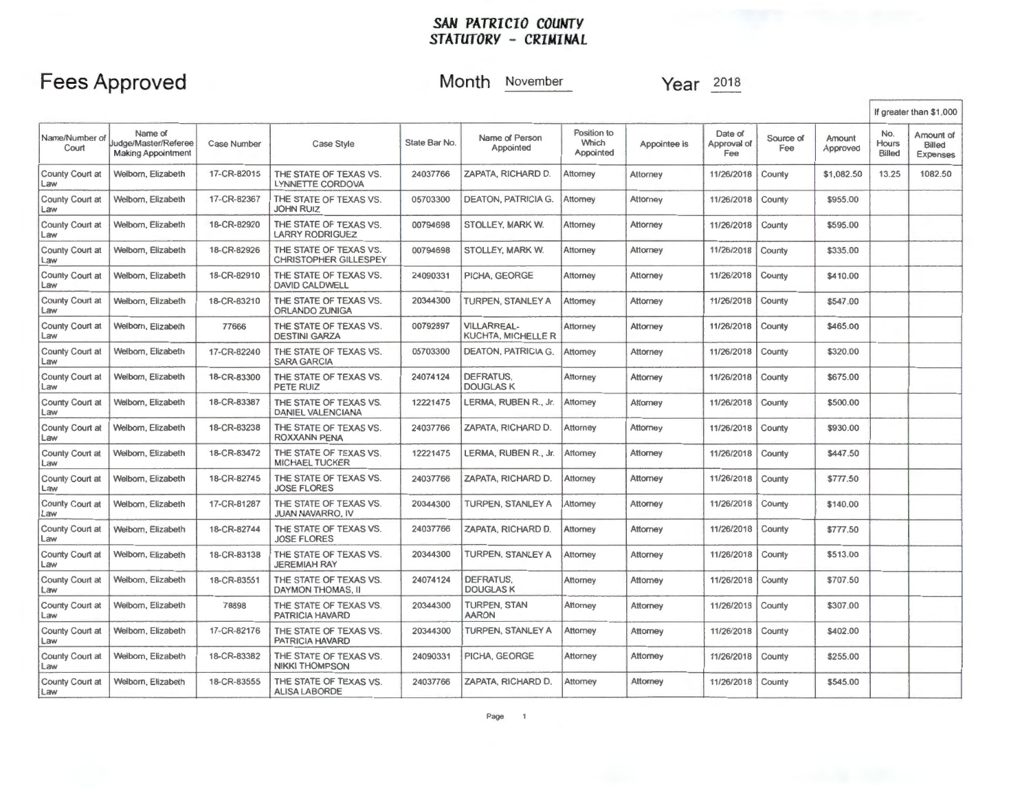### *SAN PATRICIO COUNTY STATUTORY* **-** *CRIMINAL*

### **Fees Approved**

### **Month** November

**Year**  $\frac{2018}{201}$ 

|                           |                                                              |                    |                                                        |               |                                          |                                   |                 |                               |                  |                    |                        | If greater than \$1,000         |
|---------------------------|--------------------------------------------------------------|--------------------|--------------------------------------------------------|---------------|------------------------------------------|-----------------------------------|-----------------|-------------------------------|------------------|--------------------|------------------------|---------------------------------|
| Name/Number of<br>Court   | Name of<br>Judge/Master/Referee<br><b>Making Appointment</b> | <b>Case Number</b> | <b>Case Style</b>                                      | State Bar No. | Name of Person<br>Appointed              | Position to<br>Which<br>Appointed | Appointee is    | Date of<br>Approval of<br>Fee | Source of<br>Fee | Amount<br>Approved | No.<br>Hours<br>Billed | Amount of<br>Billed<br>Expenses |
| County Court at<br>a      | Welborn, Elizabeth                                           | 17-CR-82015        | THE STATE OF TEXAS VS.<br>LYNNETTE CORDOVA             | 24037766      | ZAPATA, RICHARD D.                       | Attorney                          | Attorney        | 11/26/2018                    | County           | \$1,082.50         | 13.25                  | 1082.50                         |
| County Court at<br>Law    | Welborn, Elizabeth                                           | 17-CR-82367        | THE STATE OF TEXAS VS.<br><b>JOHN RUIZ</b>             | 05703300      | <b>DEATON, PATRICIA G.</b>               | Attorney                          | Attorney        | 11/26/2018                    | County           | \$955.00           |                        |                                 |
| County Court at<br>a      | Welborn, Elizabeth                                           | 18-CR-82920        | THE STATE OF TEXAS VS.<br><b>LARRY RODRIGUEZ</b>       | 00794698      | STOLLEY, MARK W.                         | Attorney                          | Attorney        | 11/26/2018                    | County           | \$595.00           |                        |                                 |
| County Court at<br>Law    | Welborn, Elizabeth                                           | 18-CR-82926        | THE STATE OF TEXAS VS.<br><b>CHRISTOPHER GILLESPEY</b> | 00794698      | STOLLEY, MARK W.                         | Attorney                          | Attorney        | 11/26/2018                    | County           | \$335.00           |                        |                                 |
| County Court at<br>Law    | Welborn, Elizabeth                                           | 18-CR-82910        | THE STATE OF TEXAS VS.<br><b>DAVID CALDWELL</b>        | 24090331      | PICHA, GEORGE                            | Attorney                          | Attorney        | 11/26/2018                    | County           | \$410.00           |                        |                                 |
| County Court at<br>.aw    | Welborn, Elizabeth                                           | 18-CR-83210        | THE STATE OF TEXAS VS.<br>ORLANDO ZUNIGA               | 20344300      | TURPEN, STANLEY A                        | Attorney                          | Attorney        | 11/26/2018                    | County           | \$547.00           |                        |                                 |
| County Court at<br>Law    | Welborn, Elizabeth                                           | 77666              | THE STATE OF TEXAS VS.<br><b>DESTINI GARZA</b>         | 00792897      | <b>VILLARREAL-</b><br>KUCHTA, MICHELLE R | <b>Attorney</b>                   | Attorney        | 11/26/2018                    | County           | \$465.00           |                        |                                 |
| County Court at<br>Law    | Welborn, Elizabeth                                           | 17-CR-82240        | THE STATE OF TEXAS VS.<br><b>SARA GARCIA</b>           | 05703300      | <b>DEATON, PATRICIA G.</b>               | Attorney                          | Attorney        | 11/26/2018                    | County           | \$320.00           |                        |                                 |
| County Court at<br>a      | Welborn, Elizabeth                                           | 18-CR-83300        | THE STATE OF TEXAS VS.<br>PETE RUIZ                    | 24074124      | DEFRATUS.<br><b>DOUGLASK</b>             | Attorney                          | Attorney        | 11/26/2018                    | County           | \$675.00           |                        |                                 |
| County Court at<br>Law    | Welborn, Elizabeth                                           | 18-CR-83387        | THE STATE OF TEXAS VS.<br><b>DANIEL VALENCIANA</b>     | 12221475      | LERMA, RUBEN R., Jr.                     | Attorney                          | Attorney        | 11/26/2018                    | County           | \$500.00           |                        |                                 |
| County Court at<br>.aw    | Welborn, Elizabeth                                           | 18-CR-83238        | THE STATE OF TEXAS VS.<br><b>ROXXANN PENA</b>          | 24037766      | ZAPATA, RICHARD D.                       | Attorney                          | Attorney        | 11/26/2018                    | County           | \$930.00           |                        |                                 |
| County Court at<br>.aw    | Welborn, Elizabeth                                           | 18-CR-83472        | THE STATE OF TEXAS VS.<br><b>MICHAEL TUCKER</b>        | 12221475      | LERMA, RUBEN R., Jr.                     | Attorney                          | <b>Attorney</b> | 11/26/2018                    | County           | \$447.50           |                        |                                 |
| County Court at<br>Law    | Welborn, Elizabeth                                           | 18-CR-82745        | THE STATE OF TEXAS VS.<br><b>JOSE FLORES</b>           | 24037766      | ZAPATA, RICHARD D.                       | <b>Attorney</b>                   | <b>Attorney</b> | 11/26/2018                    | County           | \$777.50           |                        |                                 |
| County Court at<br>Law    | Welborn, Elizabeth                                           | 17-CR-81287        | THE STATE OF TEXAS VS.<br><b>JUAN NAVARRO, IV</b>      | 20344300      | TURPEN, STANLEY A                        | Attorney                          | Attorney        | 11/26/2018                    | County           | \$140.00           |                        |                                 |
| County Court at<br>Law    | Welborn, Elizabeth                                           | 18-CR-82744        | THE STATE OF TEXAS VS.<br><b>JOSE FLORES</b>           | 24037766      | ZAPATA, RICHARD D.                       | <b>Attorney</b>                   | Attorney        | 11/26/2018                    | County           | \$777.50           |                        |                                 |
| County Court at<br>$aw_6$ | Welborn, Elizabeth                                           | 18-CR-83138        | THE STATE OF TEXAS VS.<br><b>JEREMIAH RAY</b>          | 20344300      | TURPEN, STANLEY A                        | Attorney                          | <b>Attorney</b> | 11/26/2018                    | County           | \$513.00           |                        |                                 |
| County Court at<br>Law    | Welbom, Elizabeth                                            | 18-CR-83551        | THE STATE OF TEXAS VS.<br>DAYMON THOMAS, II            | 24074124      | <b>DEFRATUS.</b><br><b>DOUGLASK</b>      | Attorney                          | Attorney        | 11/26/2018                    | County           | \$707.50           |                        |                                 |
| County Court at<br>Law    | Welborn, Elizabeth                                           | 78898              | THE STATE OF TEXAS VS.<br>PATRICIA HAVARD              | 20344300      | <b>TURPEN, STAN</b><br><b>AARON</b>      | Attorney                          | Attorney        | 11/26/2018                    | County           | \$307.00           |                        |                                 |
| County Court at<br>Law    | Welborn, Elizabeth                                           | 17-CR-82176        | THE STATE OF TEXAS VS.<br>PATRICIA HAVARD              | 20344300      | TURPEN, STANLEY A                        | Attorney                          | Attorney        | 11/26/2018                    | County           | \$402.00           |                        |                                 |
| County Court at<br>Law    | Welborn, Elizabeth                                           | 18-CR-83382        | THE STATE OF TEXAS VS.<br><b>NIKKI THOMPSON</b>        | 24090331      | PICHA, GEORGE                            | Attorney                          | Attorney        | 11/26/2018                    | County           | \$255.00           |                        |                                 |
| County Court at<br>Law    | Welborn, Elizabeth                                           | 18-CR-83555        | THE STATE OF TEXAS VS.<br><b>ALISA LABORDE</b>         | 24037766      | ZAPATA, RICHARD D.                       | Attorney                          | Attorney        | 11/26/2018                    | County           | \$545.00           |                        |                                 |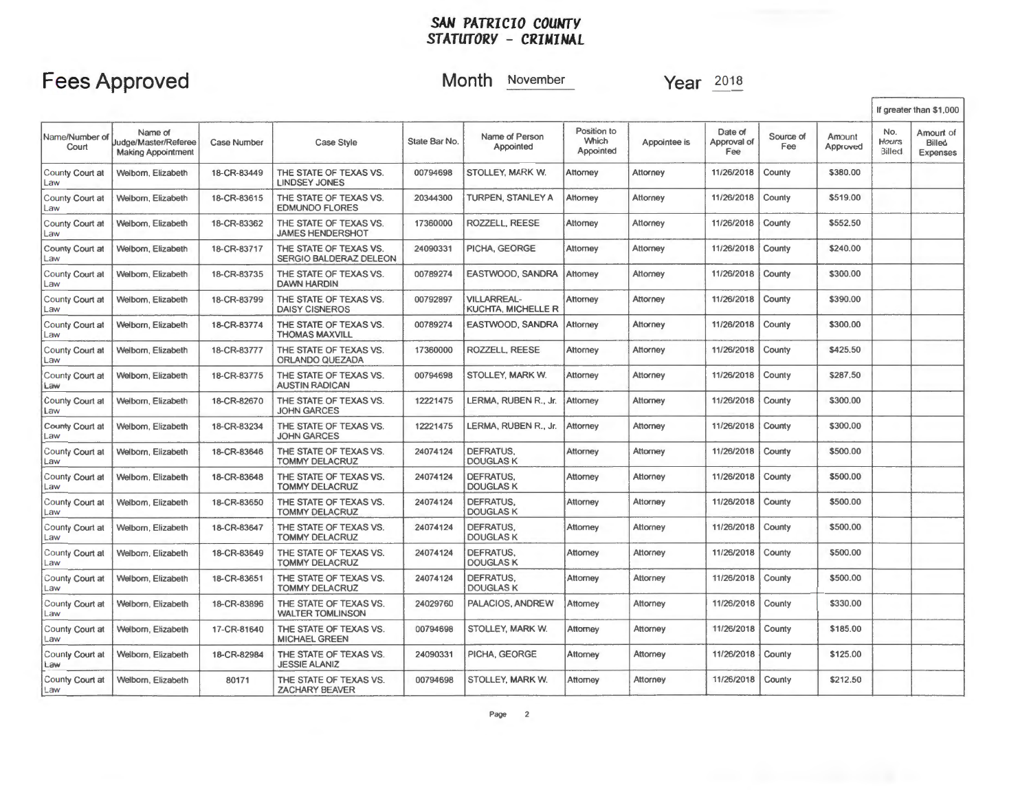#### *SAN PATRICIO COUWTY STATUTORY* **-** *CRIMINAL*

## **Fees Approved**

**Month** November

**Year**  $\frac{2018}{50}$ 

|                               |                                                              |                    |                                                   |               |                                          |                                   |              |                               |                  |                    |                        | If greater than \$1,000         |
|-------------------------------|--------------------------------------------------------------|--------------------|---------------------------------------------------|---------------|------------------------------------------|-----------------------------------|--------------|-------------------------------|------------------|--------------------|------------------------|---------------------------------|
| Name/Number of<br>Court       | Name of<br>Judge/Master/Referee<br><b>Making Appointment</b> | <b>Case Number</b> | <b>Case Style</b>                                 | State Bar No. | Name of Person<br>Appointed              | Position to<br>Which<br>Appointed | Appointee is | Date of<br>Approval of<br>Fee | Source of<br>Fee | Amount<br>Approved | No.<br>Hours<br>Billed | Amount of<br>Billed<br>Expenses |
| County Court at<br>Law        | Welborn, Elizabeth                                           | 18-CR-83449        | THE STATE OF TEXAS VS.<br><b>LINDSEY JONES</b>    | 00794698      | STOLLEY, MARK W.                         | Attorney                          | Attorney     | 11/26/2018                    | County           | \$380.00           |                        |                                 |
| County Court at<br>Law        | Welborn, Elizabeth                                           | 18-CR-83615        | THE STATE OF TEXAS VS.<br><b>EDMUNDO FLORES</b>   | 20344300      | TURPEN, STANLEY A                        | Attorney                          | Attorney     | 11/26/2018                    | County           | \$519.00           |                        |                                 |
| County Court at<br>Law        | Welborn, Elizabeth                                           | 18-CR-83362        | THE STATE OF TEXAS VS.<br><b>JAMES HENDERSHOT</b> | 17360000      | ROZZELL, REESE                           | Attorney                          | Attorney     | 11/26/2018                    | County           | \$552.50           |                        |                                 |
| County Court at<br>Law        | Welborn, Elizabeth                                           | 18-CR-83717        | THE STATE OF TEXAS VS.<br>SERGIO BALDERAZ DELEON  | 24090331      | PICHA, GEORGE                            | Attorney                          | Attorney     | 11/26/2018                    | County           | \$240.00           |                        |                                 |
| County Court at<br>Law        | Welborn, Elizabeth                                           | 18-CR-83735        | THE STATE OF TEXAS VS.<br><b>DAWN HARDIN</b>      | 00789274      | EASTWOOD, SANDRA                         | Attomev                           | Attomey      | 11/26/2018                    | County           | \$300.00           |                        |                                 |
| County Court at<br>Law        | Welborn, Elizabeth                                           | 18-CR-83799        | THE STATE OF TEXAS VS.<br><b>DAISY CISNEROS</b>   | 00792897      | <b>VILLARREAL-</b><br>KUCHTA, MICHELLE R | Attorney                          | Attorney     | 11/26/2018                    | County           | \$390.00           |                        |                                 |
| County Court at<br>Law        | Welborn, Elizabeth                                           | 18-CR-83774        | THE STATE OF TEXAS VS.<br><b>THOMAS MAXVILL</b>   | 00789274      | EASTWOOD, SANDRA                         | Attorney                          | Attorney     | 11/26/2018                    | County           | \$300.00           |                        |                                 |
| County Court at<br>Law        | Welborn, Elizabeth                                           | 18-CR-83777        | THE STATE OF TEXAS VS.<br>ORLANDO QUEZADA         | 17360000      | ROZZELL, REESE                           | Attorney                          | Attorney     | 11/26/2018                    | County           | \$425.50           |                        |                                 |
| County Court at<br>Law        | Welborn, Elizabeth                                           | 18-CR-83775        | THE STATE OF TEXAS VS.<br><b>AUSTIN RADICAN</b>   | 00794698      | STOLLEY, MARK W.                         | Attorney                          | Attorney     | 11/26/2018                    | County           | \$287.50           |                        |                                 |
| County Court at<br>Law        | Welborn, Elizabeth                                           | 18-CR-82670        | THE STATE OF TEXAS VS.<br><b>JOHN GARCES</b>      | 12221475      | LERMA, RUBEN R., Jr.                     | Attorney                          | Attorney     | 11/26/2018                    | County           | \$300.00           |                        |                                 |
| County Court at<br>Law        | Welborn, Elizabeth                                           | 18-CR-83234        | THE STATE OF TEXAS VS.<br><b>JOHN GARCES</b>      | 12221475      | LERMA, RUBEN R., Jr.                     | Attorney                          | Attorney     | 11/26/2018                    | County           | \$300.00           |                        |                                 |
| County Court at<br>Law        | Welborn, Elizabeth                                           | 18-CR-83646        | THE STATE OF TEXAS VS.<br>TOMMY DELACRUZ          | 24074124      | <b>DEFRATUS.</b><br><b>DOUGLASK</b>      | <b>Attorney</b>                   | Attorney     | 11/26/2018                    | County           | \$500.00           |                        |                                 |
| County Court at<br>Law        | Welbom, Elizabeth                                            | 18-CR-83648        | THE STATE OF TEXAS VS.<br><b>TOMMY DELACRUZ</b>   | 24074124      | DEFRATUS.<br><b>DOUGLASK</b>             | Attorney                          | Attorney     | 11/26/2018                    | County           | \$500.00           |                        |                                 |
| County Court at<br>Law        | Welbom, Elizabeth                                            | 18-CR-83650        | THE STATE OF TEXAS VS.<br><b>TOMMY DELACRUZ</b>   | 24074124      | DEFRATUS.<br><b>DOUGLASK</b>             | Attorney                          | Attorney     | 11/26/2018                    | County           | \$500.00           |                        |                                 |
| County Court at<br>Law        | Welborn, Elizabeth                                           | 18-CR-83647        | THE STATE OF TEXAS VS.<br><b>TOMMY DELACRUZ</b>   | 24074124      | DEFRATUS.<br><b>DOUGLASK</b>             | Attorney                          | Attorney     | 11/26/2018                    | County           | \$500,00           |                        |                                 |
| County Court at<br>Law        | Welborn, Elizabeth                                           | 18-CR-83649        | THE STATE OF TEXAS VS.<br><b>TOMMY DELACRUZ</b>   | 24074124      | DEFRATUS,<br><b>DOUGLAS K</b>            | Attorney                          | Attorney     | 11/26/2018                    | County           | \$500.00           |                        |                                 |
| County Court at<br>Law        | Welbom, Elizabeth                                            | 18-CR-83651        | THE STATE OF TEXAS VS.<br><b>TOMMY DELACRUZ</b>   | 24074124      | DEFRATUS.<br><b>DOUGLAS K</b>            | Attomey                           | Attorney     | 11/26/2018                    | County           | \$500.00           |                        |                                 |
| County Court at<br>Law        | Welborn, Elizabeth                                           | 18-CR-83896        | THE STATE OF TEXAS VS.<br><b>WALTER TOMLINSON</b> | 24029760      | PALACIOS, ANDREW                         | Attorney                          | Attorney     | 11/26/2018                    | County           | \$330.00           |                        |                                 |
| County Court at<br>Law        | Welborn, Elizabeth                                           | 17-CR-81640        | THE STATE OF TEXAS VS.<br><b>MICHAEL GREEN</b>    | 00794698      | STOLLEY, MARK W.                         | Attorney                          | Attorney     | 11/26/2018                    | County           | \$185.00           |                        |                                 |
| County Court at<br>Law        | Welborn, Elizabeth                                           | 18-CR-82984        | THE STATE OF TEXAS VS.<br><b>JESSIE ALANIZ</b>    | 24090331      | PICHA, GEORGE                            | Attorney                          | Attorney     | 11/26/2018                    | County           | \$125.00           |                        |                                 |
| County Court at<br><b>Law</b> | Welborn, Elizabeth                                           | 80171              | THE STATE OF TEXAS VS.<br><b>ZACHARY BEAVER</b>   | 00794698      | STOLLEY, MARK W.                         | Attorney                          | Attorney     | 11/26/2018                    | County           | \$212.50           |                        |                                 |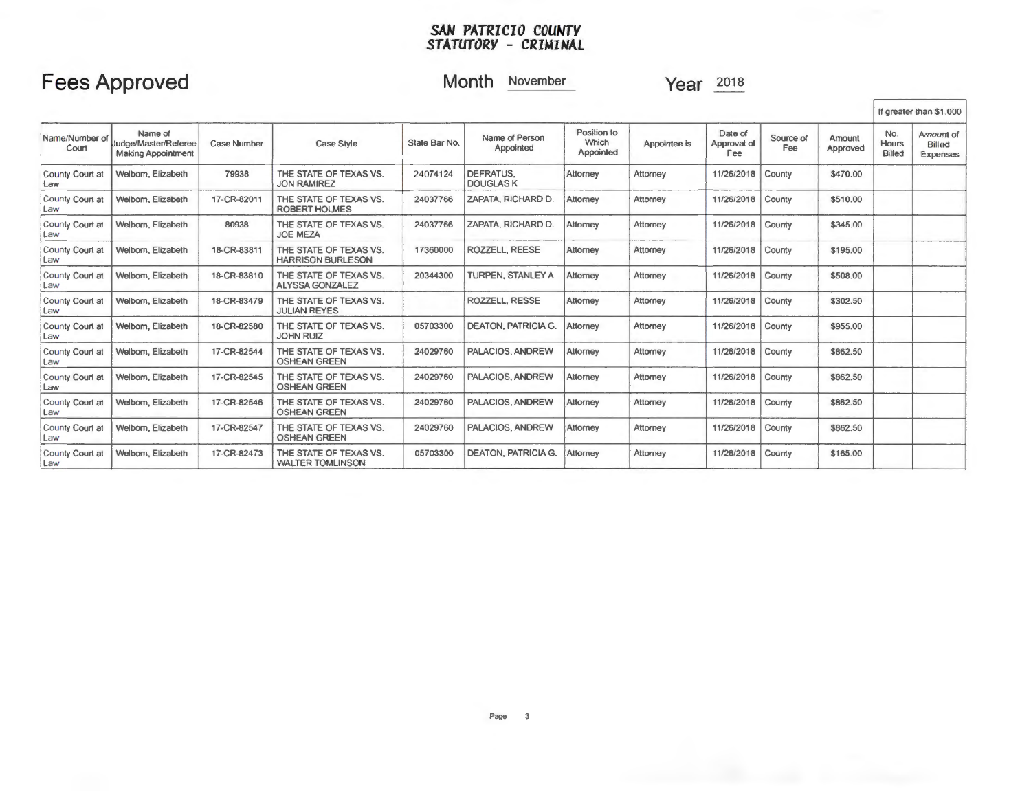#### *SAN PATRICIO COUNTY STATUTORY* **-** *CRIMINAL*

## **Fees Approved**

### **Month** November

**Year** 201s

|                          |                                                              |                    |                                                    |               |                               |                                   |              |                               |                  |                    |                        | If greater than \$1,000                |
|--------------------------|--------------------------------------------------------------|--------------------|----------------------------------------------------|---------------|-------------------------------|-----------------------------------|--------------|-------------------------------|------------------|--------------------|------------------------|----------------------------------------|
| Name/Number of<br>Court  | Name of<br>Judge/Master/Referee<br><b>Making Appointment</b> | <b>Case Number</b> | Case Style                                         | State Bar No. | Name of Person<br>Appointed   | Position to<br>Which<br>Appointed | Appointee is | Date of<br>Approval of<br>Fee | Source of<br>Fee | Amount<br>Approved | No.<br>Hours<br>Billed | Amount of<br><b>Billed</b><br>Expenses |
| County Court at<br>Law   | Welborn, Elizabeth                                           | 79938              | THE STATE OF TEXAS VS.<br><b>JON RAMIREZ</b>       | 24074124      | DEFRATUS.<br><b>DOUGLAS K</b> | Attorney                          | Attorney     | 11/26/2018                    | County           | \$470.00           |                        |                                        |
| County Court at<br>Law   | Welbom, Elizabeth                                            | 17-CR-82011        | THE STATE OF TEXAS VS.<br><b>ROBERT HOLMES</b>     | 24037766      | ZAPATA, RICHARD D.            | Attorney                          | Attorney     | 11/26/2018                    | County           | \$510.00           |                        |                                        |
| County Court at<br>Law   | Welborn, Elizabeth                                           | 80938              | THE STATE OF TEXAS VS.<br><b>JOE MEZA</b>          | 24037766      | ZAPATA, RICHARD D.            | Attorney                          | Attorney     | 11/26/2018                    | County           | \$345.00           |                        |                                        |
| County Court at<br>Law   | Welbom, Elizabeth                                            | 18-CR-83811        | THE STATE OF TEXAS VS.<br><b>HARRISON BURLESON</b> | 17360000      | <b>ROZZELL REESE</b>          | Attorney                          | Attorney     | 11/26/2018                    | County           | \$195.00           |                        |                                        |
| County Court at<br>Law   | Welborn, Elizabeth                                           | 18-CR-83810        | THE STATE OF TEXAS VS.<br><b>ALYSSA GONZALEZ</b>   | 20344300      | <b>TURPEN, STANLEY A</b>      | Attorney                          | Attorney     | 11/26/2018                    | County           | \$508.00           |                        |                                        |
| County Court at<br>Law   | Welbom, Elizabeth                                            | 18-CR-83479        | THE STATE OF TEXAS VS.<br><b>JULIAN REYES</b>      |               | ROZZELL, RESSE                | Attorney                          | Attorney     | 11/26/2018                    | County           | \$302.50           |                        |                                        |
| County Court at<br>Law   | Welborn, Elizabeth                                           | 18-CR-82580        | THE STATE OF TEXAS VS.<br><b>JOHN RUIZ</b>         | 05703300      | <b>DEATON, PATRICIA G.</b>    | Attorney                          | Attorney     | 11/26/2018                    | County           | \$955.00           |                        |                                        |
| County Court at<br>Law   | Welbom, Elizabeth                                            | 17-CR-82544        | THE STATE OF TEXAS VS.<br><b>OSHEAN GREEN</b>      | 24029760      | PALACIOS, ANDREW              | Attorney                          | Attorney     | 11/26/2018                    | County           | \$862.50           |                        |                                        |
| County Court at<br>Law   | Welbom, Elizabeth                                            | 17-CR-82545        | THE STATE OF TEXAS VS.<br><b>OSHEAN GREEN</b>      | 24029760      | PALACIOS, ANDREW              | Attorney                          | Attorney     | 11/26/2018                    | County           | \$862.50           |                        |                                        |
| County Court at<br>Law   | Welborn, Elizabeth                                           | 17-CR-82546        | THE STATE OF TEXAS VS.<br><b>OSHEAN GREEN</b>      | 24029760      | PALACIOS, ANDREW              | Attorney                          | Attorney     | 11/26/2018                    | County           | \$862.50           |                        |                                        |
| County Court at<br>l Law | Welbom, Elizabeth                                            | 17-CR-82547        | THE STATE OF TEXAS VS.<br><b>OSHEAN GREEN</b>      | 24029760      | PALACIOS, ANDREW              | Attorney                          | Attorney     | 11/26/2018                    | County           | \$862.50           |                        |                                        |
| County Court at<br>Law   | Welbom, Elizabeth                                            | 17-CR-82473        | THE STATE OF TEXAS VS.<br><b>WALTER TOMLINSON</b>  | 05703300      | <b>DEATON, PATRICIA G.</b>    | Attorney                          | Attorney     | 11/26/2018                    | County           | \$165,00           |                        |                                        |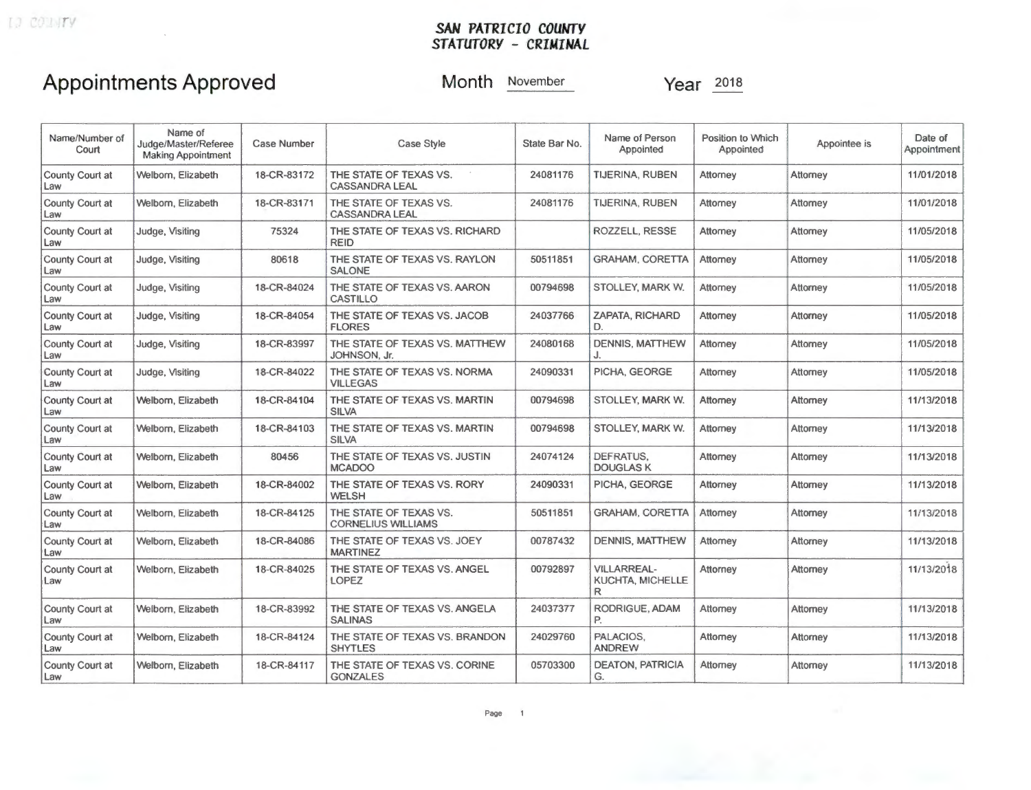### *SAN PATRICIO COUWTY STATUTORY* **-** *CRIMINAL*

### **Appointments Approved**

**Month** November

**Year**  $\frac{2018}{201}$ 

| Name/Number of<br>Court       | Name of<br>Judge/Master/Referee<br><b>Making Appointment</b> | Case Number | <b>Case Style</b>                                   | State Bar No. | Name of Person<br>Appointed                 | Position to Which<br>Appointed | Appointee is | Date of<br>Appointment |
|-------------------------------|--------------------------------------------------------------|-------------|-----------------------------------------------------|---------------|---------------------------------------------|--------------------------------|--------------|------------------------|
| County Court at<br>Law        | Welborn, Elizabeth                                           | 18-CR-83172 | THE STATE OF TEXAS VS.<br><b>CASSANDRA LEAL</b>     | 24081176      | TIJERINA, RUBEN                             | Attorney                       | Attorney     | 11/01/2018             |
| County Court at<br>Law        | Welborn, Elizabeth                                           | 18-CR-83171 | THE STATE OF TEXAS VS.<br><b>CASSANDRA LEAL</b>     | 24081176      | TIJERINA, RUBEN                             | Attomey                        | Attorney     | 11/01/2018             |
| County Court at<br>Law        | Judge, Visiting                                              | 75324       | THE STATE OF TEXAS VS. RICHARD<br><b>REID</b>       |               | ROZZELL, RESSE                              | Attorney                       | Attorney     | 11/05/2018             |
| County Court at<br>Law        | Judge, Visiting                                              | 80618       | THE STATE OF TEXAS VS. RAYLON<br><b>SALONE</b>      | 50511851      | <b>GRAHAM, CORETTA</b>                      | Attorney                       | Attorney     | 11/05/2018             |
| County Court at<br>Law        | Judge, Visiting                                              | 18-CR-84024 | THE STATE OF TEXAS VS. AARON<br><b>CASTILLO</b>     | 00794698      | STOLLEY, MARK W.                            | Attorney                       | Attorney     | 11/05/2018             |
| County Court at<br>Law        | Judge, Visiting                                              | 18-CR-84054 | THE STATE OF TEXAS VS. JACOB<br><b>FLORES</b>       | 24037766      | <b>ZAPATA, RICHARD</b><br>D.                | Attomey                        | Attorney     | 11/05/2018             |
| County Court at<br>Law        | Judge, Visiting                                              | 18-CR-83997 | THE STATE OF TEXAS VS. MATTHEW<br>JOHNSON, Jr.      | 24080168      | <b>DENNIS, MATTHEW</b><br>J.                | Attorney                       | Attorney     | 11/05/2018             |
| County Court at<br>Law        | Judge, Visiting                                              | 18-CR-84022 | THE STATE OF TEXAS VS. NORMA<br><b>VILLEGAS</b>     | 24090331      | PICHA, GEORGE                               | Attorney                       | Attorney     | 11/05/2018             |
| County Court at<br>Law        | Welborn, Elizabeth                                           | 18-CR-84104 | THE STATE OF TEXAS VS. MARTIN<br><b>SILVA</b>       | 00794698      | STOLLEY, MARK W.                            | Attorney                       | Attorney     | 11/13/2018             |
| County Court at<br>Law        | Welborn, Elizabeth                                           | 18-CR-84103 | THE STATE OF TEXAS VS. MARTIN<br><b>SILVA</b>       | 00794698      | <b>STOLLEY, MARK W.</b>                     | Attorney                       | Attorney     | 11/13/2018             |
| County Court at<br>Law        | Welborn, Elizabeth                                           | 80456       | THE STATE OF TEXAS VS. JUSTIN<br><b>MCADOO</b>      | 24074124      | DEFRATUS.<br><b>DOUGLASK</b>                | Attorney                       | Attorney     | 11/13/2018             |
| County Court at<br>Law        | Welborn, Elizabeth                                           | 18-CR-84002 | THE STATE OF TEXAS VS. RORY<br><b>WELSH</b>         | 24090331      | PICHA, GEORGE                               | Attorney                       | Attorney     | 11/13/2018             |
| County Court at<br>Law        | Welborn, Elizabeth                                           | 18-CR-84125 | THE STATE OF TEXAS VS.<br><b>CORNELIUS WILLIAMS</b> | 50511851      | <b>GRAHAM, CORETTA</b>                      | Attorney                       | Attorney     | 11/13/2018             |
| County Court at<br>Law        | Welborn, Elizabeth                                           | 18-CR-84086 | THE STATE OF TEXAS VS. JOEY<br><b>MARTINEZ</b>      | 00787432      | <b>DENNIS, MATTHEW</b>                      | Attorney                       | Attorney     | 11/13/2018             |
| County Court at<br>Law        | Welborn, Elizabeth                                           | 18-CR-84025 | THE STATE OF TEXAS VS. ANGEL<br><b>LOPEZ</b>        | 00792897      | <b>VILLARREAL-</b><br>KUCHTA, MICHELLE<br>R | Attorney                       | Attorney     | 11/13/2018             |
| County Court at<br>Law        | Welborn, Elizabeth                                           | 18-CR-83992 | THE STATE OF TEXAS VS. ANGELA<br><b>SALINAS</b>     | 24037377      | RODRIGUE, ADAM<br>P.                        | Attorney                       | Attorney     | 11/13/2018             |
| County Court at<br>Law        | Welborn, Elizabeth                                           | 18-CR-84124 | THE STATE OF TEXAS VS. BRANDON<br><b>SHYTLES</b>    | 24029760      | PALACIOS,<br><b>ANDREW</b>                  | Attorney                       | Attorney     | 11/13/2018             |
| <b>County Court at</b><br>Law | Welborn, Elizabeth                                           | 18-CR-84117 | THE STATE OF TEXAS VS. CORINE<br><b>GONZALES</b>    | 05703300      | <b>DEATON, PATRICIA</b><br>G.               | Attorney                       | Attorney     | 11/13/2018             |
|                               |                                                              |             |                                                     |               |                                             |                                |              |                        |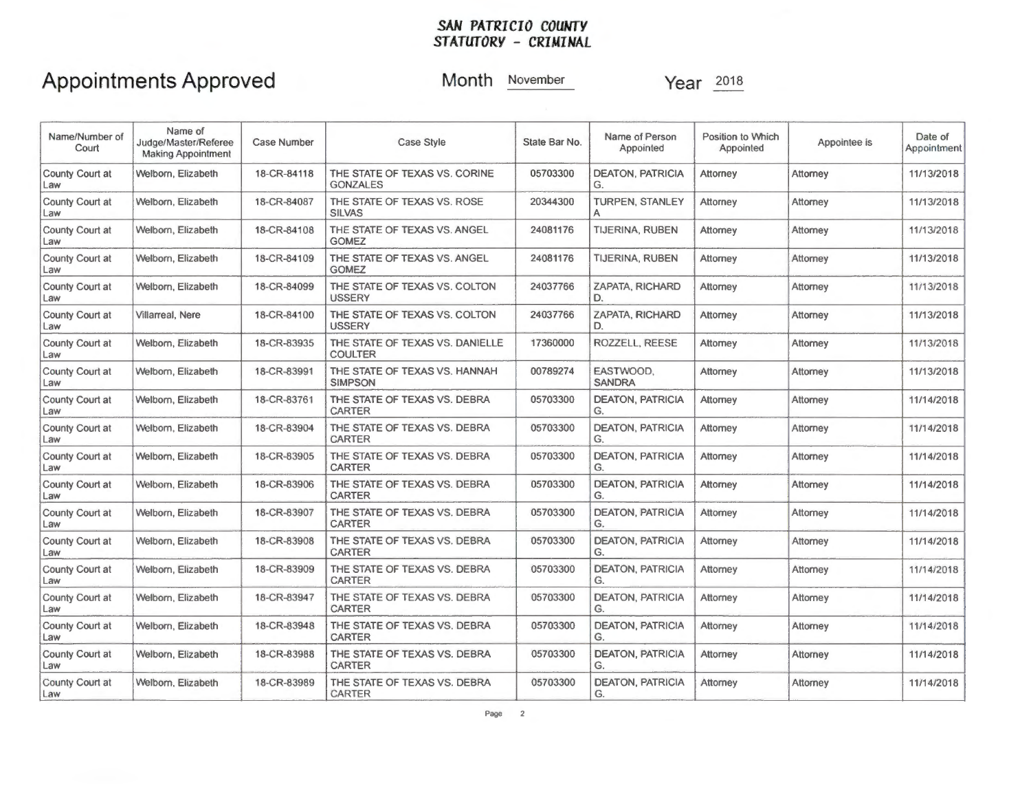### **SAN PATRICIO COUNTY** *STATUTORY* **-** *CRIMINAL*

### **Appointments Approved**

**Month** November

**Year** 201s

| Name/Number of<br>Court       | Name of<br>Judge/Master/Referee<br><b>Making Appointment</b> | <b>Case Number</b> | <b>Case Style</b><br>State Bar No.                                                                        |          | Name of Person<br>Appointed   | Position to Which<br>Appointed | Appointee is | Date of<br>Appointment |
|-------------------------------|--------------------------------------------------------------|--------------------|-----------------------------------------------------------------------------------------------------------|----------|-------------------------------|--------------------------------|--------------|------------------------|
| County Court at<br>Law        | Welborn, Elizabeth                                           | 18-CR-84118        | THE STATE OF TEXAS VS. CORINE<br>05703300<br><b>DEATON, PATRICIA</b><br>Attorney<br><b>GONZALES</b><br>G. |          | Attorney                      | 11/13/2018                     |              |                        |
| County Court at<br>Law        | Welborn, Elizabeth                                           | 18-CR-84087        | THE STATE OF TEXAS VS. ROSE<br><b>SILVAS</b>                                                              | 20344300 | <b>TURPEN, STANLEY</b><br>A   | Attorney                       | Attorney     | 11/13/2018             |
| County Court at<br>Law        | Welborn, Elizabeth                                           | 18-CR-84108        | THE STATE OF TEXAS VS. ANGEL<br><b>GOMEZ</b>                                                              | 24081176 | TIJERINA, RUBEN               | Attorney                       | Attorney     | 11/13/2018             |
| County Court at<br>Law        | Welborn, Elizabeth                                           | 18-CR-84109        | THE STATE OF TEXAS VS. ANGEL<br><b>GOMEZ</b>                                                              | 24081176 | TIJERINA, RUBEN               | Attorney                       | Attorney     | 11/13/2018             |
| County Court at<br>Law        | Welborn, Elizabeth                                           | 18-CR-84099        | THE STATE OF TEXAS VS. COLTON<br><b>USSERY</b>                                                            | 24037766 | ZAPATA, RICHARD<br>D.         | Attorney                       | Attorney     | 11/13/2018             |
| County Court at<br>Law        | Villarreal, Nere                                             | 18-CR-84100        | THE STATE OF TEXAS VS. COLTON<br><b>USSERY</b>                                                            | 24037766 | ZAPATA, RICHARD<br>D.         | Attomey                        | Attorney     | 11/13/2018             |
| <b>County Court at</b><br>Law | Welborn, Elizabeth                                           | 18-CR-83935        | THE STATE OF TEXAS VS. DANIELLE<br><b>COULTER</b>                                                         | 17360000 | ROZZELL, REESE                | Attorney                       | Attomey      | 11/13/2018             |
| County Court at<br>Law        | Welbom, Elizabeth                                            | 18-CR-83991        | THE STATE OF TEXAS VS. HANNAH<br><b>SIMPSON</b>                                                           | 00789274 | EASTWOOD.<br><b>SANDRA</b>    | Attorney                       | Attorney     | 11/13/2018             |
| County Court at<br>Law        | Welborn, Elizabeth                                           | 18-CR-83761        | THE STATE OF TEXAS VS. DEBRA<br><b>CARTER</b>                                                             | 05703300 | <b>DEATON, PATRICIA</b><br>G. | Attorney                       | Attorney     | 11/14/2018             |
| County Court at<br>Law        | Welborn, Elizabeth                                           | 18-CR-83904        | THE STATE OF TEXAS VS. DEBRA<br><b>CARTER</b>                                                             | 05703300 | <b>DEATON, PATRICIA</b><br>G. | Attorney                       | Attorney     | 11/14/2018             |
| County Court at<br>Law        | Welborn, Elizabeth                                           | 18-CR-83905        | THE STATE OF TEXAS VS. DEBRA<br><b>CARTER</b>                                                             | 05703300 | <b>DEATON, PATRICIA</b><br>G. | Attorney                       | Attorney     | 11/14/2018             |
| <b>County Court at</b><br>Law | Welborn, Elizabeth                                           | 18-CR-83906        | THE STATE OF TEXAS VS. DEBRA<br><b>CARTER</b>                                                             | 05703300 | <b>DEATON, PATRICIA</b><br>G. | Attorney                       | Attorney     | 11/14/2018             |
| <b>County Court at</b><br>Law | Welborn, Elizabeth                                           | 18-CR-83907        | THE STATE OF TEXAS VS. DEBRA<br><b>CARTER</b>                                                             | 05703300 | <b>DEATON, PATRICIA</b><br>G. | Attorney                       | Attorney     | 11/14/2018             |
| County Court at<br>Law        | Welborn, Elizabeth                                           | 18-CR-83908        | THE STATE OF TEXAS VS. DEBRA<br><b>CARTER</b>                                                             | 05703300 | <b>DEATON, PATRICIA</b><br>G. | Attorney                       | Attorney     | 11/14/2018             |
| County Court at<br>Law        | Welborn, Elizabeth                                           | 18-CR-83909        | THE STATE OF TEXAS VS. DEBRA<br><b>CARTER</b>                                                             | 05703300 | <b>DEATON, PATRICIA</b><br>G. | Attomey                        | Attorney     | 11/14/2018             |
| County Court at<br>Law        | Welborn, Elizabeth                                           | 18-CR-83947        | THE STATE OF TEXAS VS. DEBRA<br><b>CARTER</b>                                                             | 05703300 | <b>DEATON, PATRICIA</b><br>G. | Attomey                        | Attomey      | 11/14/2018             |
| County Court at<br>Law        | Welborn, Elizabeth                                           | 18-CR-83948        | THE STATE OF TEXAS VS. DEBRA<br><b>CARTER</b>                                                             | 05703300 | <b>DEATON, PATRICIA</b><br>G. | Attorney                       | Attorney     | 11/14/2018             |
| County Court at<br>Law        | Welborn, Elizabeth                                           | 18-CR-83988        | THE STATE OF TEXAS VS. DEBRA<br><b>CARTER</b>                                                             | 05703300 | <b>DEATON, PATRICIA</b><br>G. | Attorney                       | Attorney     | 11/14/2018             |
| County Court at<br>Law        | Welborn, Elizabeth                                           | 18-CR-83989        | THE STATE OF TEXAS VS. DEBRA<br>CARTER                                                                    | 05703300 | <b>DEATON, PATRICIA</b><br>G. | Attorney                       | Attorney     | 11/14/2018             |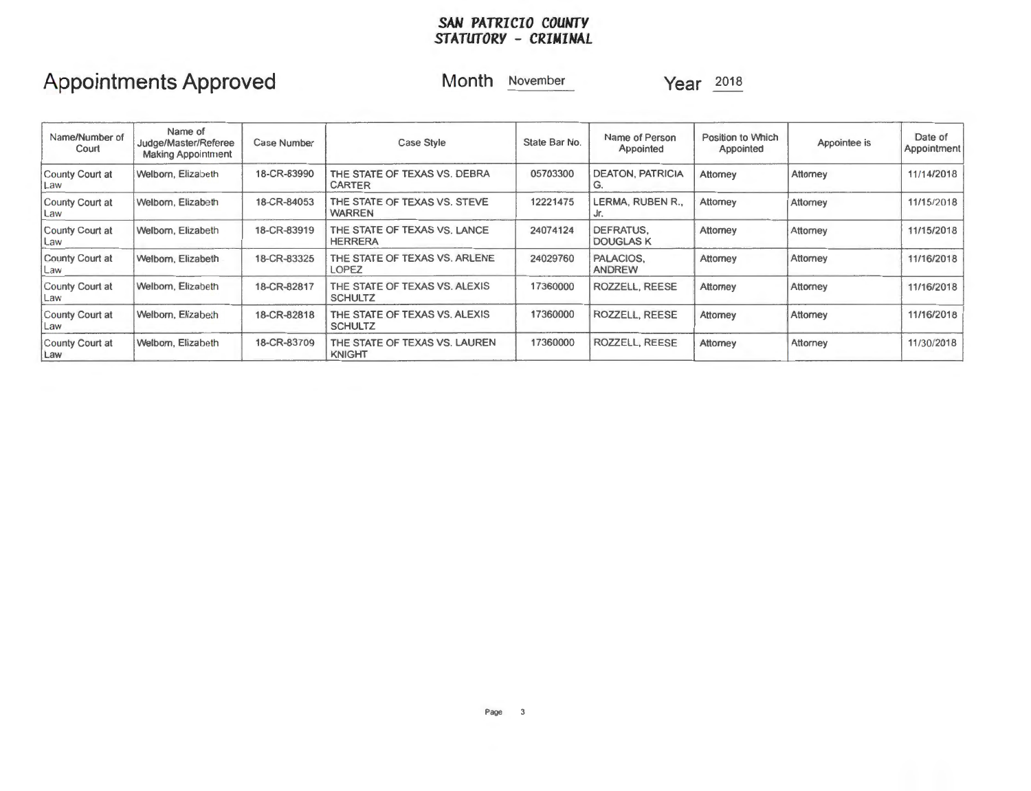#### *SAN PATRICIO COUNTY STATUTORY* **-** *CRIMINAL*

# **Appointments Approved**

**Month** November

**Year** <sup>2018</sup>

| Name/Number of<br>Court | Name of<br>Case Number<br>Judge/Master/Referee<br><b>Making Appointment</b> |             | State Bar No.<br><b>Case Style</b>              |          | Name of Person<br>Appointed   | Position to Which<br>Appointed | Appointee is | Date of<br>Appointment |
|-------------------------|-----------------------------------------------------------------------------|-------------|-------------------------------------------------|----------|-------------------------------|--------------------------------|--------------|------------------------|
| County Court at<br>Law  | Welborn, Elizabeth                                                          | 18-CR-83990 | THE STATE OF TEXAS VS. DEBRA<br><b>CARTER</b>   | 05703300 | <b>DEATON, PATRICIA</b><br>G. | Attorney                       | Attorney     | 11/1.4/2018            |
| County Court at<br>Law  | Welborn, Elizabeth                                                          | 18-CR-84053 | THE STATE OF TEXAS VS. STEVE<br><b>WARREN</b>   | 12221475 | LERMA, RUBEN R.,              | Attorney                       | Attorney     | 11/15/2018             |
| County Court at<br>Law  | Welborn, Elizabeth                                                          | 18-CR-83919 | THE STATE OF TEXAS VS. LANCE<br><b>HERRERA</b>  | 24074124 | DEFRATUS.<br><b>DOUGLAS K</b> | Attorney                       | Attorney     | 11/15/2018             |
| County Court at<br>Law  | Welborn, Elizabeth                                                          | 18-CR-83325 | THE STATE OF TEXAS VS. ARLENE<br>LOPEZ          | 24029760 | PALACIOS.<br><b>ANDREW</b>    | Attorney                       | Attorney     | 11/16/2018             |
| County Court at<br>Law  | Welborn, Elizabeth                                                          | 18-CR-82817 | THE STATE OF TEXAS VS. ALEXIS<br><b>SCHULTZ</b> | 17360000 | ROZZELL, REESE                | Attorney                       | Attorney     | 11/16/2018             |
| County Court at<br>Law  | Welborn, Elizabeth                                                          | 18-CR-82818 | THE STATE OF TEXAS VS. ALEXIS<br><b>SCHULTZ</b> | 17360000 | ROZZELL, REESE                | Attorney                       | Attorney     | 11/16/2018             |
| County Court at<br>Law  | Welborn, Elizabeth                                                          | 18-CR-83709 | THE STATE OF TEXAS VS. LAUREN<br><b>KNIGHT</b>  | 17360000 | ROZZELL, REESE                | Attorney                       | Attorney     | 11/30/2018             |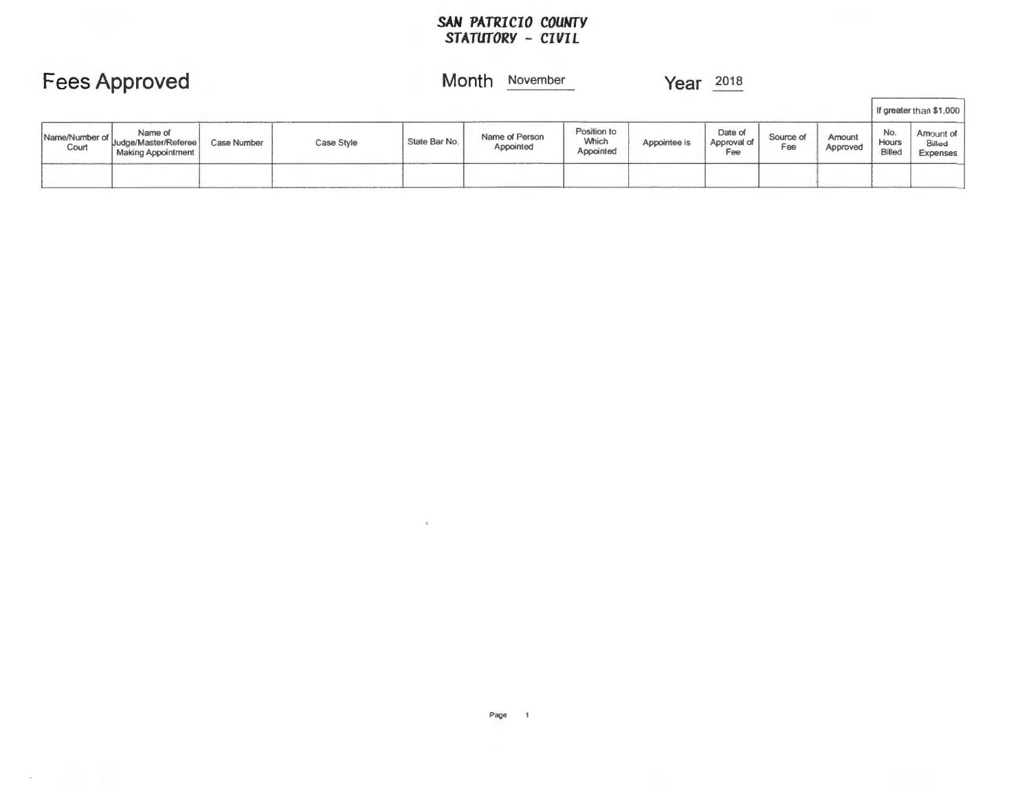#### SAN PATRICIO COUNTY *STATUTORY* **-** *CIVIL*

|                         | <b>Fees Approved</b>                                  |             |            | Month<br>November |                             |                                   | Year         | 2018                          |                  |                    |                        |                                 |
|-------------------------|-------------------------------------------------------|-------------|------------|-------------------|-----------------------------|-----------------------------------|--------------|-------------------------------|------------------|--------------------|------------------------|---------------------------------|
|                         |                                                       |             |            |                   |                             |                                   |              |                               |                  |                    |                        | If greater than \$1,000         |
| Name/Number of<br>Court | Name of<br>Judge/Master/Referee<br>Making Appointment | Case Number | Case Style | State Bar No.     | Name of Person<br>Appointed | Position to<br>Which<br>Appointed | Appointee is | Date of<br>Approval of<br>Fee | Source of<br>Fee | Amount<br>Approved | No.<br>Hours<br>Billed | Amount of<br>Billed<br>Expenses |
|                         |                                                       |             |            |                   |                             |                                   |              |                               |                  |                    |                        |                                 |

 $\mathcal{N}$  .